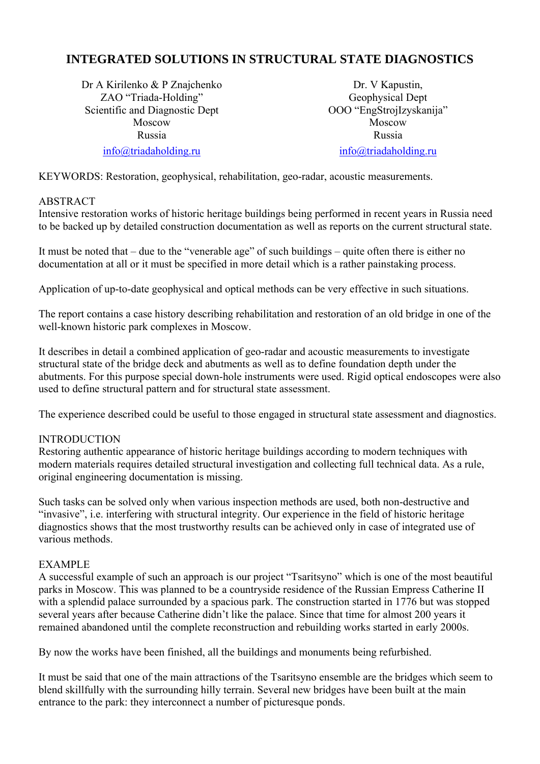# **INTEGRATED SOLUTIONS IN STRUCTURAL STATE DIAGNOSTICS**

Dr A Kirilenko & P Znajchenko ZAO "Triada-Holding" Scientific and Diagnostic Dept Moscow Russia

info@triadaholding.ru

Dr. V Kapustin, Geophysical Dept OOO "EngStrojIzyskanija" Moscow Russia

info@triadaholding.ru

KEYWORDS: Restoration, geophysical, rehabilitation, geo-radar, acoustic measurements.

### ABSTRACT

Intensive restoration works of historic heritage buildings being performed in recent years in Russia need to be backed up by detailed construction documentation as well as reports on the current structural state.

It must be noted that – due to the "venerable age" of such buildings – quite often there is either no documentation at all or it must be specified in more detail which is a rather painstaking process.

Application of up-to-date geophysical and optical methods can be very effective in such situations.

The report contains a case history describing rehabilitation and restoration of an old bridge in one of the well-known historic park complexes in Moscow.

It describes in detail a combined application of geo-radar and acoustic measurements to investigate structural state of the bridge deck and abutments as well as to define foundation depth under the abutments. For this purpose special down-hole instruments were used. Rigid optical endoscopes were also used to define structural pattern and for structural state assessment.

The experience described could be useful to those engaged in structural state assessment and diagnostics.

#### INTRODUCTION

Restoring authentic appearance of historic heritage buildings according to modern techniques with modern materials requires detailed structural investigation and collecting full technical data. As a rule, original engineering documentation is missing.

Such tasks can be solved only when various inspection methods are used, both non-destructive and "invasive", i.e. interfering with structural integrity. Our experience in the field of historic heritage diagnostics shows that the most trustworthy results can be achieved only in case of integrated use of various methods.

#### EXAMPLE

A successful example of such an approach is our project "Tsaritsyno" which is one of the most beautiful parks in Moscow. This was planned to be a countryside residence of the Russian Empress Catherine II with a splendid palace surrounded by a spacious park. The construction started in 1776 but was stopped several years after because Catherine didn't like the palace. Since that time for almost 200 years it remained abandoned until the complete reconstruction and rebuilding works started in early 2000s.

By now the works have been finished, all the buildings and monuments being refurbished.

It must be said that one of the main attractions of the Tsaritsyno ensemble are the bridges which seem to blend skillfully with the surrounding hilly terrain. Several new bridges have been built at the main entrance to the park: they interconnect a number of picturesque ponds.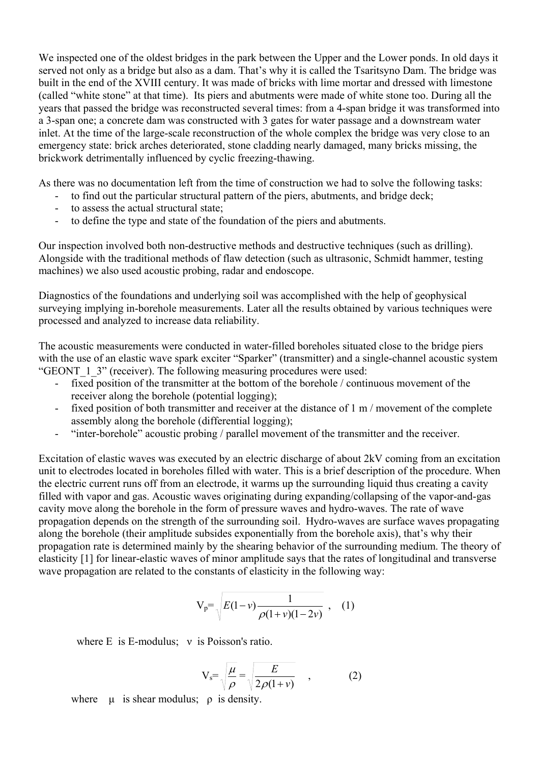We inspected one of the oldest bridges in the park between the Upper and the Lower ponds. In old days it served not only as a bridge but also as a dam. That's why it is called the Tsaritsyno Dam. The bridge was built in the end of the XVIII century. It was made of bricks with lime mortar and dressed with limestone (called "white stone" at that time). Its piers and abutments were made of white stone too. During all the years that passed the bridge was reconstructed several times: from a 4-span bridge it was transformed into a 3-span one; a concrete dam was constructed with 3 gates for water passage and a downstream water inlet. At the time of the large-scale reconstruction of the whole complex the bridge was very close to an emergency state: brick arches deteriorated, stone cladding nearly damaged, many bricks missing, the brickwork detrimentally influenced by cyclic freezing-thawing.

As there was no documentation left from the time of construction we had to solve the following tasks:

- to find out the particular structural pattern of the piers, abutments, and bridge deck;
- to assess the actual structural state;
- to define the type and state of the foundation of the piers and abutments.

Our inspection involved both non-destructive methods and destructive techniques (such as drilling). Alongside with the traditional methods of flaw detection (such as ultrasonic, Schmidt hammer, testing machines) we also used acoustic probing, radar and endoscope.

Diagnostics of the foundations and underlying soil was accomplished with the help of geophysical surveying implying in-borehole measurements. Later all the results obtained by various techniques were processed and analyzed to increase data reliability.

The acoustic measurements were conducted in water-filled boreholes situated close to the bridge piers with the use of an elastic wave spark exciter "Sparker" (transmitter) and a single-channel acoustic system "GEONT 1 3" (receiver). The following measuring procedures were used:

- fixed position of the transmitter at the bottom of the borehole / continuous movement of the receiver along the borehole (potential logging);
- fixed position of both transmitter and receiver at the distance of 1 m / movement of the complete assembly along the borehole (differential logging);
- "inter-borehole" acoustic probing / parallel movement of the transmitter and the receiver.

Excitation of elastic waves was executed by an electric discharge of about 2kV coming from an excitation unit to electrodes located in boreholes filled with water. This is a brief description of the procedure. When the electric current runs off from an electrode, it warms up the surrounding liquid thus creating a cavity filled with vapor and gas. Acoustic waves originating during expanding/collapsing of the vapor-and-gas cavity move along the borehole in the form of pressure waves and hydro-waves. The rate of wave propagation depends on the strength of the surrounding soil. Hydro-waves are surface waves propagating along the borehole (their amplitude subsides exponentially from the borehole axis), that's why their propagation rate is determined mainly by the shearing behavior of the surrounding medium. The theory of elasticity [1] for linear-elastic waves of minor amplitude says that the rates of longitudinal and transverse wave propagation are related to the constants of elasticity in the following way:

$$
V_p = \sqrt{E(1-\nu)\frac{1}{\rho(1+\nu)(1-2\nu)}} \ , \quad (1)
$$

where E is E-modulus; ν is Poisson's ratio.

$$
V_s = \sqrt{\frac{\mu}{\rho}} = \sqrt{\frac{E}{2\rho(1+\nu)}} \quad , \tag{2}
$$

where  $\mu$  is shear modulus;  $\rho$  is density.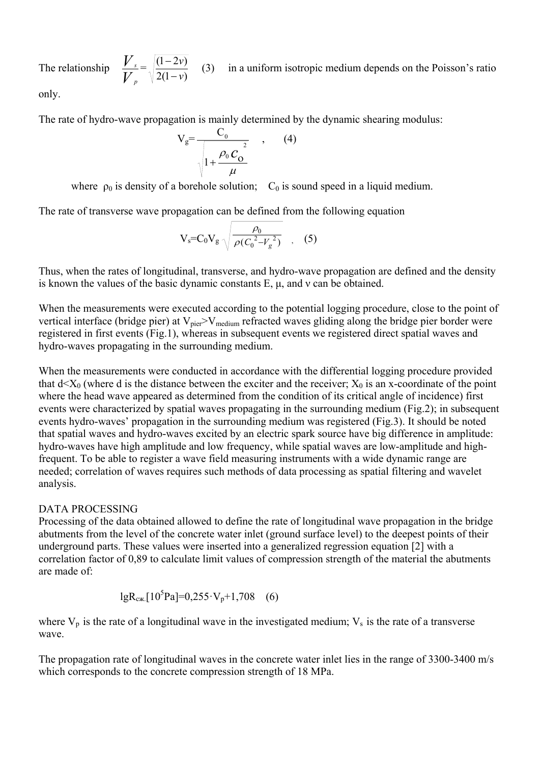The relationship *V V*  $\frac{s}{p} = \sqrt{\frac{(1-2v)}{2(1-v)}}$ *v v* −  $\frac{-2v}{\sqrt{2}}$  (3) in a uniform isotropic medium depends on the Poisson's ratio

only.

The rate of hydro-wave propagation is mainly determined by the dynamic shearing modulus:

$$
V_g = \frac{C_0}{\sqrt{1 + \frac{\rho_0 C_0^2}{\mu}}}, \qquad (4)
$$

where  $\rho_0$  is density of a borehole solution;  $C_0$  is sound speed in a liquid medium.

The rate of transverse wave propagation can be defined from the following equation

$$
V_{s} = C_0 V_g \sqrt{\frac{\rho_0}{\rho (C_0^2 - V_g^2)}}
$$
 (5)

Thus, when the rates of longitudinal, transverse, and hydro-wave propagation are defined and the density is known the values of the basic dynamic constants Е, μ, and ν can be obtained.

When the measurements were executed according to the potential logging procedure, close to the point of vertical interface (bridge pier) at  $V_{\text{pie}} > V_{\text{medium}}$  refracted waves gliding along the bridge pier border were registered in first events (Fig.1), whereas in subsequent events we registered direct spatial waves and hydro-waves propagating in the surrounding medium.

When the measurements were conducted in accordance with the differential logging procedure provided that  $d \leq X_0$  (where d is the distance between the exciter and the receiver;  $X_0$  is an x-coordinate of the point where the head wave appeared as determined from the condition of its critical angle of incidence) first events were characterized by spatial waves propagating in the surrounding medium (Fig.2); in subsequent events hydro-waves' propagation in the surrounding medium was registered (Fig.3). It should be noted that spatial waves and hydro-waves excited by an electric spark source have big difference in amplitude: hydro-waves have high amplitude and low frequency, while spatial waves are low-amplitude and highfrequent. To be able to register a wave field measuring instruments with a wide dynamic range are needed; correlation of waves requires such methods of data processing as spatial filtering and wavelet analysis.

#### DATA PROCESSING

Processing of the data obtained allowed to define the rate of longitudinal wave propagation in the bridge abutments from the level of the concrete water inlet (ground surface level) to the deepest points of their underground parts. These values were inserted into a generalized regression equation [2] with a correlation factor of 0,89 to calculate limit values of compression strength of the material the abutments are made of:

$$
lgR_{c\pi} [10^5 Pa] = 0.255 \cdot V_p + 1,708 \quad (6)
$$

where  $V_p$  is the rate of a longitudinal wave in the investigated medium;  $V_s$  is the rate of a transverse wave.

The propagation rate of longitudinal waves in the concrete water inlet lies in the range of 3300-3400 m/s which corresponds to the concrete compression strength of 18 MPa.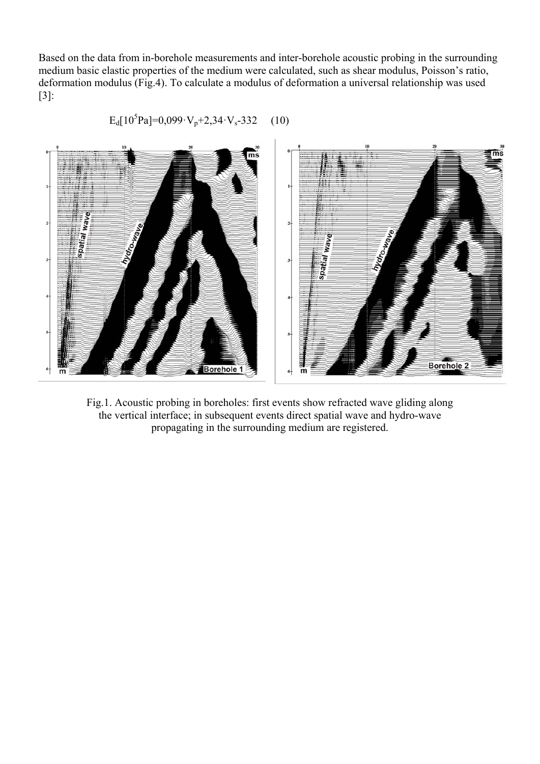Based on the data from in-borehole measurements and inter-borehole acoustic probing in the surrounding medium basic elastic properties of the medium were calculated, such as shear modulus, Poisson's ratio, deformation modulus (Fig.4). To calculate a modulus of deformation a universal relationship was used [3]:



$$
E_d[10^5Pa] = 0.099 \cdot V_p + 2.34 \cdot V_s - 332 \quad (10)
$$

Fig.1. Acoustic probing in boreholes: first events show refracted wave gliding along the vertical interface; in subsequent events direct spatial wave and hydro-wave propagating in the surrounding medium are registered.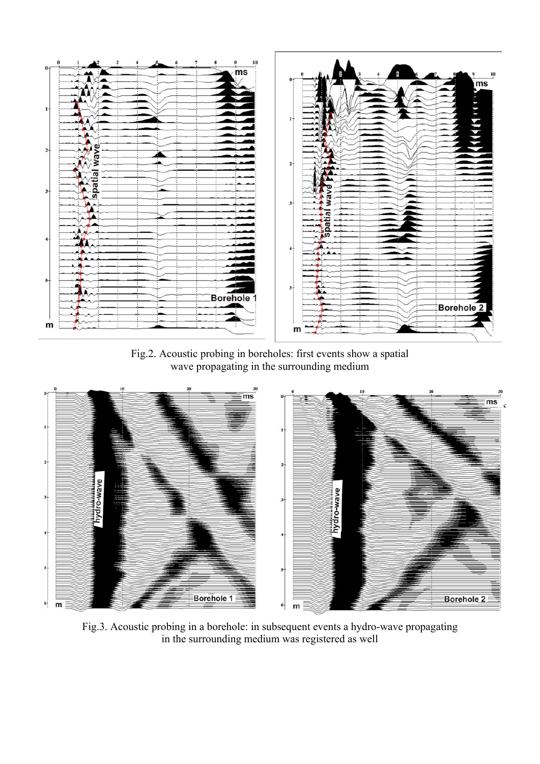

Fig.2. Acoustic probing in boreholes: first events show a spatial wave propagating in the surrounding medium



Fig.3. Acoustic probing in a borehole: in subsequent events a hydro-wave propagating in the surrounding medium was registered as well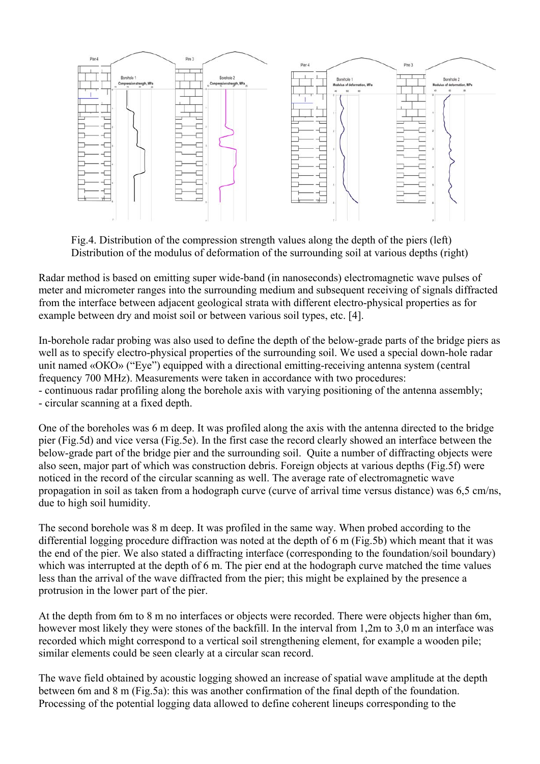

Fig.4. Distribution of the compression strength values along the depth of the piers (left) Distribution of the modulus of deformation of the surrounding soil at various depths (right)

Radar method is based on emitting super wide-band (in nanoseconds) electromagnetic wave pulses of meter and micrometer ranges into the surrounding medium and subsequent receiving of signals diffracted from the interface between adjacent geological strata with different electro-physical properties as for example between dry and moist soil or between various soil types, etc. [4].

In-borehole radar probing was also used to define the depth of the below-grade parts of the bridge piers as well as to specify electro-physical properties of the surrounding soil. We used a special down-hole radar unit named «ОКО» ("Eye") equipped with a directional emitting-receiving antenna system (central frequency 700 MHz). Measurements were taken in accordance with two procedures: - continuous radar profiling along the borehole axis with varying positioning of the antenna assembly; - circular scanning at a fixed depth.

One of the boreholes was 6 m deep. It was profiled along the axis with the antenna directed to the bridge pier (Fig.5d) and vice versa (Fig.5e). In the first case the record clearly showed an interface between the below-grade part of the bridge pier and the surrounding soil. Quite a number of diffracting objects were also seen, major part of which was construction debris. Foreign objects at various depths (Fig.5f) were noticed in the record of the circular scanning as well. The average rate of electromagnetic wave propagation in soil as taken from a hodograph curve (curve of arrival time versus distance) was 6,5 cm/ns, due to high soil humidity.

The second borehole was 8 m deep. It was profiled in the same way. When probed according to the differential logging procedure diffraction was noted at the depth of 6 m (Fig.5b) which meant that it was the end of the pier. We also stated a diffracting interface (corresponding to the foundation/soil boundary) which was interrupted at the depth of 6 m. The pier end at the hodograph curve matched the time values less than the arrival of the wave diffracted from the pier; this might be explained by the presence a protrusion in the lower part of the pier.

At the depth from 6m to 8 m no interfaces or objects were recorded. There were objects higher than 6m, however most likely they were stones of the backfill. In the interval from 1,2m to 3,0 m an interface was recorded which might correspond to a vertical soil strengthening element, for example a wooden pile; similar elements could be seen clearly at a circular scan record.

The wave field obtained by acoustic logging showed an increase of spatial wave amplitude at the depth between 6m and 8 m (Fig.5a): this was another confirmation of the final depth of the foundation. Processing of the potential logging data allowed to define coherent lineups corresponding to the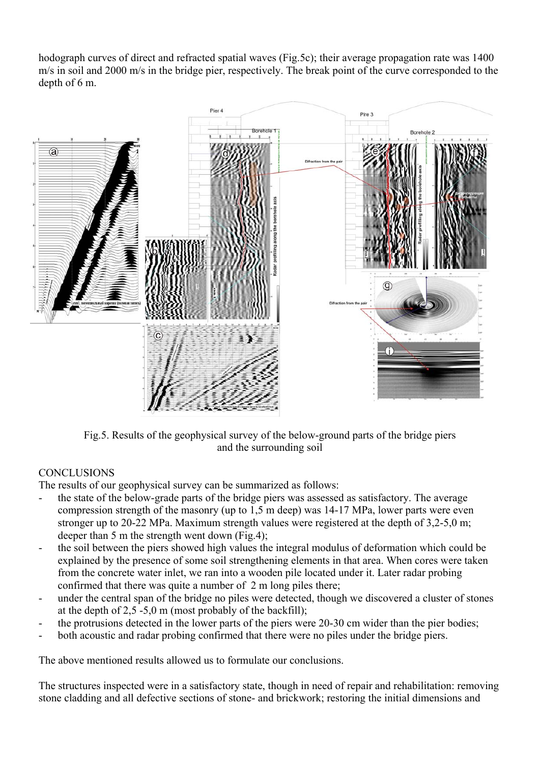hodograph curves of direct and refracted spatial waves (Fig.5c); their average propagation rate was 1400 m/s in soil and 2000 m/s in the bridge pier, respectively. The break point of the curve corresponded to the depth of 6 m.



Fig.5. Results of the geophysical survey of the below-ground parts of the bridge piers and the surrounding soil

## **CONCLUSIONS**

The results of our geophysical survey can be summarized as follows:

- the state of the below-grade parts of the bridge piers was assessed as satisfactory. The average compression strength of the masonry (up to 1,5 m deep) was 14-17 MPa, lower parts were even stronger up to 20-22 MPa. Maximum strength values were registered at the depth of 3,2-5,0 m; deeper than 5 m the strength went down (Fig.4);
- the soil between the piers showed high values the integral modulus of deformation which could be explained by the presence of some soil strengthening elements in that area. When cores were taken from the concrete water inlet, we ran into a wooden pile located under it. Later radar probing confirmed that there was quite a number of 2 m long piles there;
- under the central span of the bridge no piles were detected, though we discovered a cluster of stones at the depth of  $2,5 -5,0$  m (most probably of the backfill);
- the protrusions detected in the lower parts of the piers were 20-30 cm wider than the pier bodies;
- both acoustic and radar probing confirmed that there were no piles under the bridge piers.

The above mentioned results allowed us to formulate our conclusions.

The structures inspected were in a satisfactory state, though in need of repair and rehabilitation: removing stone cladding and all defective sections of stone- and brickwork; restoring the initial dimensions and